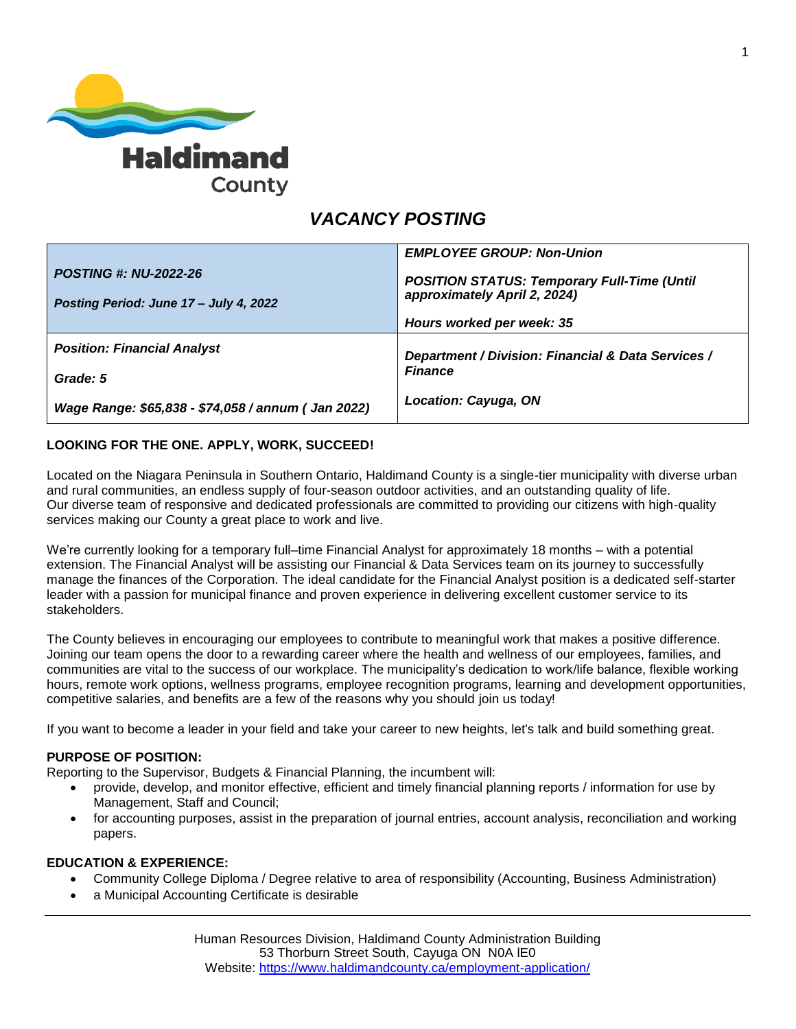

# *VACANCY POSTING*

|                                                    | <b>EMPLOYEE GROUP: Non-Union</b>                                                   |
|----------------------------------------------------|------------------------------------------------------------------------------------|
| <b>POSTING #: NU-2022-26</b>                       | <b>POSITION STATUS: Temporary Full-Time (Until</b><br>approximately April 2, 2024) |
| Posting Period: June 17 - July 4, 2022             | Hours worked per week: 35                                                          |
|                                                    |                                                                                    |
| <b>Position: Financial Analyst</b>                 | Department / Division: Financial & Data Services /                                 |
| Grade: 5                                           | <b>Finance</b>                                                                     |
| Wage Range: \$65,838 - \$74,058 / annum (Jan 2022) | <b>Location: Cayuga, ON</b>                                                        |

## **LOOKING FOR THE ONE. APPLY, WORK, SUCCEED!**

Located on the Niagara Peninsula in Southern Ontario, Haldimand County is a single-tier municipality with diverse urban and rural communities, an endless supply of four-season outdoor activities, and an outstanding quality of life. Our diverse team of responsive and dedicated professionals are committed to providing our citizens with high-quality services making our County a great place to work and live.

We're currently looking for a temporary full–time Financial Analyst for approximately 18 months – with a potential extension. The Financial Analyst will be assisting our Financial & Data Services team on its journey to successfully manage the finances of the Corporation. The ideal candidate for the Financial Analyst position is a dedicated self-starter leader with a passion for municipal finance and proven experience in delivering excellent customer service to its stakeholders.

The County believes in encouraging our employees to contribute to meaningful work that makes a positive difference. Joining our team opens the door to a rewarding career where the health and wellness of our employees, families, and communities are vital to the success of our workplace. The municipality's dedication to work/life balance, flexible working hours, remote work options, wellness programs, employee recognition programs, learning and development opportunities, competitive salaries, and benefits are a few of the reasons why you should join us today!

If you want to become a leader in your field and take your career to new heights, let's talk and build something great.

## **PURPOSE OF POSITION:**

Reporting to the Supervisor, Budgets & Financial Planning, the incumbent will:

- provide, develop, and monitor effective, efficient and timely financial planning reports / information for use by Management, Staff and Council;
- for accounting purposes, assist in the preparation of journal entries, account analysis, reconciliation and working papers.

## **EDUCATION & EXPERIENCE:**

- Community College Diploma / Degree relative to area of responsibility (Accounting, Business Administration)
- a Municipal Accounting Certificate is desirable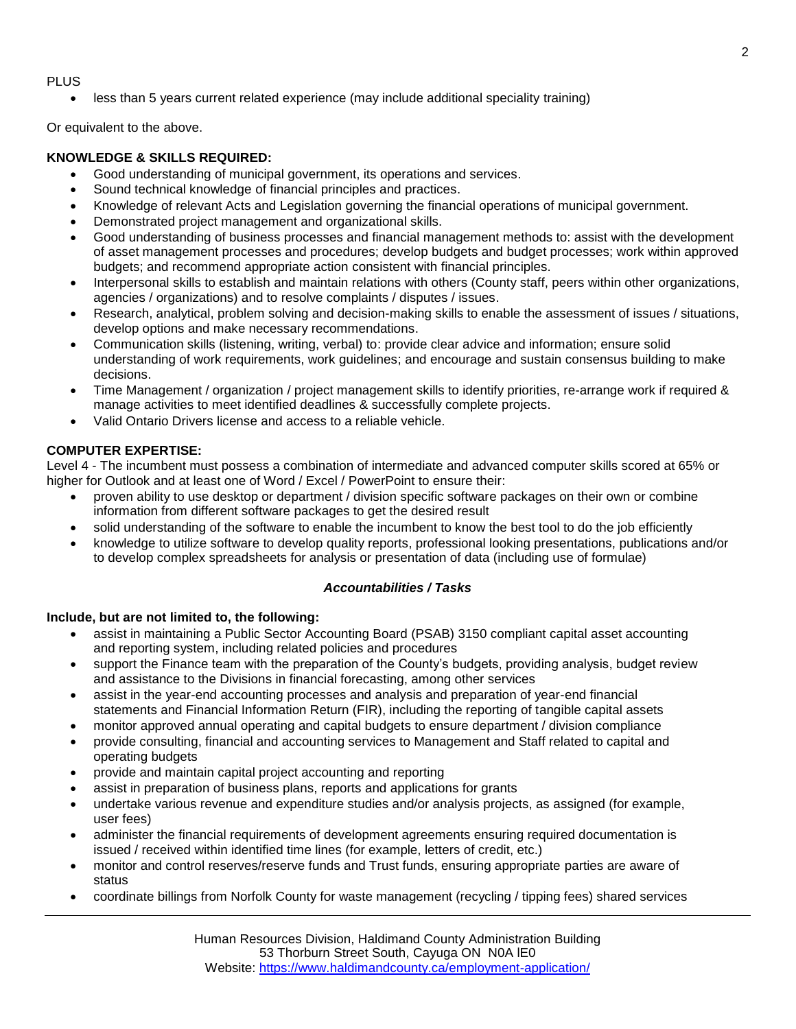### PLUS

less than 5 years current related experience (may include additional speciality training)

Or equivalent to the above.

## **KNOWLEDGE & SKILLS REQUIRED:**

- Good understanding of municipal government, its operations and services.
- Sound technical knowledge of financial principles and practices.
- Knowledge of relevant Acts and Legislation governing the financial operations of municipal government.
- Demonstrated project management and organizational skills.
- Good understanding of business processes and financial management methods to: assist with the development of asset management processes and procedures; develop budgets and budget processes; work within approved budgets; and recommend appropriate action consistent with financial principles.
- Interpersonal skills to establish and maintain relations with others (County staff, peers within other organizations, agencies / organizations) and to resolve complaints / disputes / issues.
- Research, analytical, problem solving and decision-making skills to enable the assessment of issues / situations, develop options and make necessary recommendations.
- Communication skills (listening, writing, verbal) to: provide clear advice and information; ensure solid understanding of work requirements, work guidelines; and encourage and sustain consensus building to make decisions.
- Time Management / organization / project management skills to identify priorities, re-arrange work if required & manage activities to meet identified deadlines & successfully complete projects.
- Valid Ontario Drivers license and access to a reliable vehicle.

## **COMPUTER EXPERTISE:**

Level 4 - The incumbent must possess a combination of intermediate and advanced computer skills scored at 65% or higher for Outlook and at least one of Word / Excel / PowerPoint to ensure their:

- proven ability to use desktop or department / division specific software packages on their own or combine information from different software packages to get the desired result
- solid understanding of the software to enable the incumbent to know the best tool to do the job efficiently
- knowledge to utilize software to develop quality reports, professional looking presentations, publications and/or to develop complex spreadsheets for analysis or presentation of data (including use of formulae)

## *Accountabilities / Tasks*

## **Include, but are not limited to, the following:**

- assist in maintaining a Public Sector Accounting Board (PSAB) 3150 compliant capital asset accounting and reporting system, including related policies and procedures
- support the Finance team with the preparation of the County's budgets, providing analysis, budget review and assistance to the Divisions in financial forecasting, among other services
- assist in the year-end accounting processes and analysis and preparation of year-end financial statements and Financial Information Return (FIR), including the reporting of tangible capital assets
- monitor approved annual operating and capital budgets to ensure department / division compliance
- provide consulting, financial and accounting services to Management and Staff related to capital and operating budgets
- provide and maintain capital project accounting and reporting
- assist in preparation of business plans, reports and applications for grants
- undertake various revenue and expenditure studies and/or analysis projects, as assigned (for example, user fees)
- administer the financial requirements of development agreements ensuring required documentation is issued / received within identified time lines (for example, letters of credit, etc.)
- monitor and control reserves/reserve funds and Trust funds, ensuring appropriate parties are aware of status
- coordinate billings from Norfolk County for waste management (recycling / tipping fees) shared services